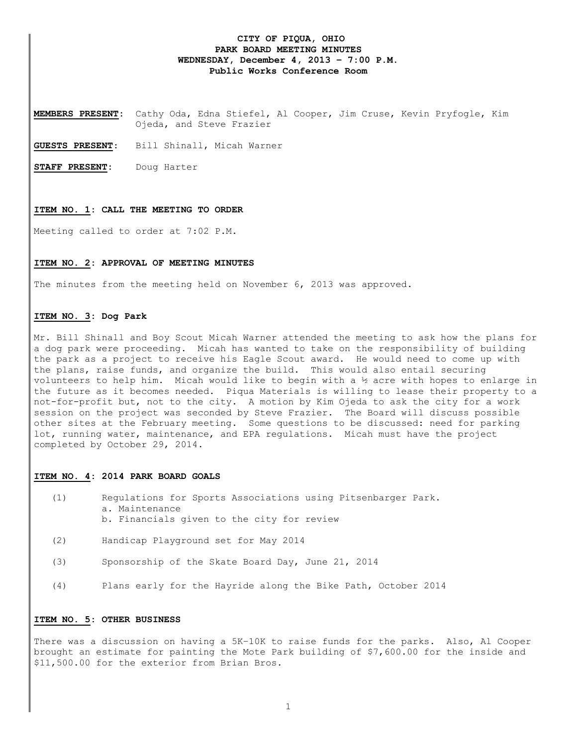## **CITY OF PIQUA, OHIO PARK BOARD MEETING MINUTES WEDNESDAY, December 4, 2013 – 7:00 P.M. Public Works Conference Room**

**MEMBERS PRESENT:** Cathy Oda, Edna Stiefel, Al Cooper, Jim Cruse, Kevin Pryfogle, Kim Ojeda, and Steve Frazier

**GUESTS PRESENT**: Bill Shinall, Micah Warner

**STAFF PRESENT:** Doug Harter

#### **ITEM NO. 1: CALL THE MEETING TO ORDER**

Meeting called to order at 7:02 P.M.

#### **ITEM NO. 2: APPROVAL OF MEETING MINUTES**

The minutes from the meeting held on November 6, 2013 was approved.

### **ITEM NO. 3: Dog Park**

Mr. Bill Shinall and Boy Scout Micah Warner attended the meeting to ask how the plans for a dog park were proceeding. Micah has wanted to take on the responsibility of building the park as a project to receive his Eagle Scout award. He would need to come up with the plans, raise funds, and organize the build. This would also entail securing volunteers to help him. Micah would like to begin with a  $\frac{1}{2}$  acre with hopes to enlarge in the future as it becomes needed. Piqua Materials is willing to lease their property to a not-for-profit but, not to the city. A motion by Kim Ojeda to ask the city for a work session on the project was seconded by Steve Frazier. The Board will discuss possible other sites at the February meeting. Some questions to be discussed: need for parking lot, running water, maintenance, and EPA regulations. Micah must have the project completed by October 29, 2014.

#### **ITEM NO. 4: 2014 PARK BOARD GOALS**

- (1) Regulations for Sports Associations using Pitsenbarger Park. a. Maintenance b. Financials given to the city for review
- (2) Handicap Playground set for May 2014
- (3) Sponsorship of the Skate Board Day, June 21, 2014
- (4) Plans early for the Hayride along the Bike Path, October 2014

#### **ITEM NO. 5: OTHER BUSINESS**

There was a discussion on having a 5K-10K to raise funds for the parks. Also, Al Cooper brought an estimate for painting the Mote Park building of \$7,600.00 for the inside and \$11,500.00 for the exterior from Brian Bros.